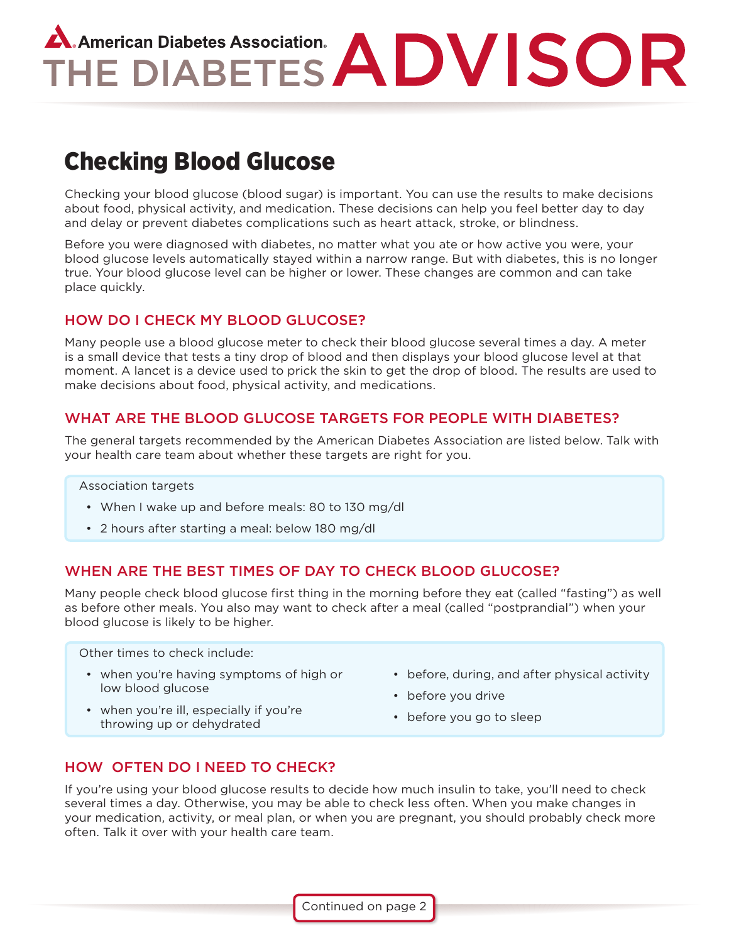# A. American Diabetes Association.<br>THE DIABETES ADVISOR

# Checking Blood Glucose

Checking your blood glucose (blood sugar) is important. You can use the results to make decisions about food, physical activity, and medication. These decisions can help you feel better day to day and delay or prevent diabetes complications such as heart attack, stroke, or blindness.

Before you were diagnosed with diabetes, no matter what you ate or how active you were, your blood glucose levels automatically stayed within a narrow range. But with diabetes, this is no longer true. Your blood glucose level can be higher or lower. These changes are common and can take place quickly.

# HOW DO I CHECK MY BLOOD GLUCOSE?

Many people use a blood glucose meter to check their blood glucose several times a day. A meter is a small device that tests a tiny drop of blood and then displays your blood glucose level at that moment. A lancet is a device used to prick the skin to get the drop of blood. The results are used to make decisions about food, physical activity, and medications.

# WHAT ARE THE BLOOD GLUCOSE TARGETS FOR PEOPLE WITH DIABETES?

The general targets recommended by the American Diabetes Association are listed below. Talk with your health care team about whether these targets are right for you.

#### Association targets

- When I wake up and before meals: 80 to 130 mg/dl
- 2 hours after starting a meal: below 180 mg/dl

# WHEN ARE THE BEST TIMES OF DAY TO CHECK BLOOD GLUCOSE?

Many people check blood glucose first thing in the morning before they eat (called "fasting") as well as before other meals. You also may want to check after a meal (called "postprandial") when your blood glucose is likely to be higher.

Other times to check include:

- • when you're having symptoms of high or low blood glucose
- before, during, and after physical activity
- before you drive
- when you're ill, especially if you're throwing up or dehydrated
- before you go to sleep

# HOW OFTEN DO I NEED TO CHECK?

If you're using your blood glucose results to decide how much insulin to take, you'll need to check several times a day. Otherwise, you may be able to check less often. When you make changes in your medication, activity, or meal plan, or when you are pregnant, you should probably check more often. Talk it over with your health care team.